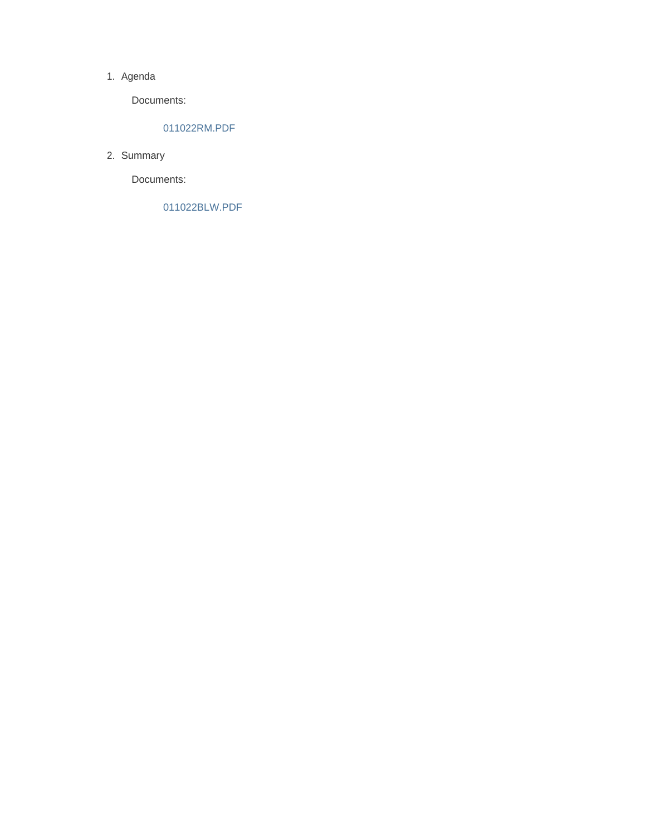### 1. Agenda

Documents:

### 011022RM.PDF

2. Summary

Documents:

011022BLW.PDF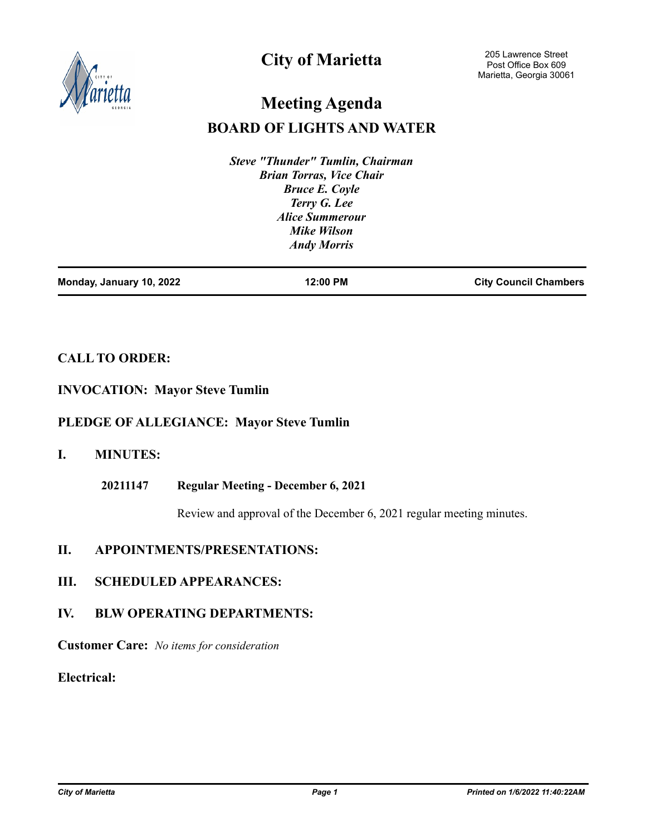

# **City of Marietta**

# **BOARD OF LIGHTS AND WATER Meeting Agenda**

*Steve "Thunder" Tumlin, Chairman Brian Torras, Vice Chair Bruce E. Coyle Terry G. Lee Alice Summerour Mike Wilson Andy Morris*

| Monday, January 10, 2022 | 12:00 PM | <b>City Council Chambers</b> |
|--------------------------|----------|------------------------------|
|                          |          |                              |

# **CALL TO ORDER:**

# **INVOCATION: Mayor Steve Tumlin**

# **PLEDGE OF ALLEGIANCE: Mayor Steve Tumlin**

# **I. MINUTES:**

**Regular Meeting - December 6, 2021 20211147**

Review and approval of the December 6, 2021 regular meeting minutes.

# **II. APPOINTMENTS/PRESENTATIONS:**

**III. SCHEDULED APPEARANCES:**

# **IV. BLW OPERATING DEPARTMENTS:**

**Customer Care:** *No items for consideration*

**Electrical:**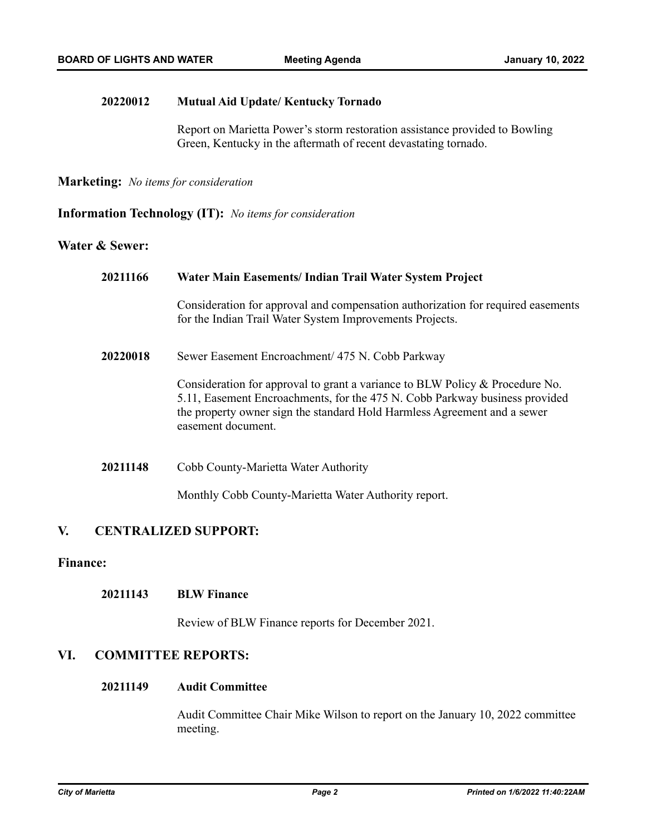#### **Mutual Aid Update/ Kentucky Tornado 20220012**

Report on Marietta Power's storm restoration assistance provided to Bowling Green, Kentucky in the aftermath of recent devastating tornado.

**Marketing:** *No items for consideration*

**Information Technology (IT):** *No items for consideration*

## **Water & Sewer:**

| 20211166 | Water Main Easements/ Indian Trail Water System Project                                                                                                                                                                                                       |  |
|----------|---------------------------------------------------------------------------------------------------------------------------------------------------------------------------------------------------------------------------------------------------------------|--|
|          | Consideration for approval and compensation authorization for required easements<br>for the Indian Trail Water System Improvements Projects.                                                                                                                  |  |
| 20220018 | Sewer Easement Encroachment/ 475 N. Cobb Parkway                                                                                                                                                                                                              |  |
|          | Consideration for approval to grant a variance to BLW Policy & Procedure No.<br>5.11, Easement Encroachments, for the 475 N. Cobb Parkway business provided<br>the property owner sign the standard Hold Harmless Agreement and a sewer<br>easement document. |  |
| 20211148 | Cobb County-Marietta Water Authority                                                                                                                                                                                                                          |  |
|          | Monthly Cobb County-Marietta Water Authority report.                                                                                                                                                                                                          |  |

# **V. CENTRALIZED SUPPORT:**

## **Finance:**

#### **BLW Finance 20211143**

Review of BLW Finance reports for December 2021.

# **VI. COMMITTEE REPORTS:**

#### **Audit Committee 20211149**

Audit Committee Chair Mike Wilson to report on the January 10, 2022 committee meeting.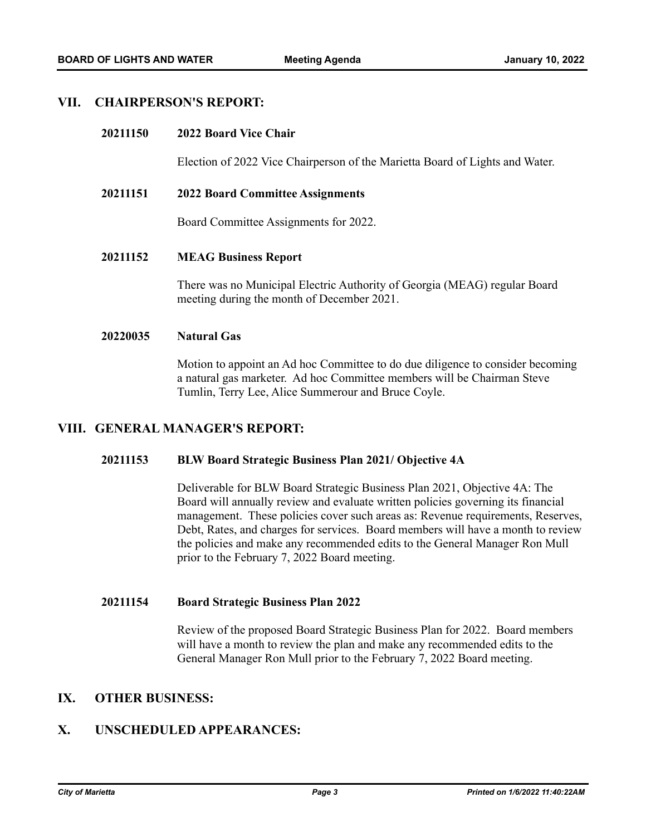## **VII. CHAIRPERSON'S REPORT:**

#### **2022 Board Vice Chair 20211150**

Election of 2022 Vice Chairperson of the Marietta Board of Lights and Water.

#### **2022 Board Committee Assignments 20211151**

Board Committee Assignments for 2022.

#### **MEAG Business Report 20211152**

There was no Municipal Electric Authority of Georgia (MEAG) regular Board meeting during the month of December 2021.

#### **Natural Gas 20220035**

Motion to appoint an Ad hoc Committee to do due diligence to consider becoming a natural gas marketer. Ad hoc Committee members will be Chairman Steve Tumlin, Terry Lee, Alice Summerour and Bruce Coyle.

# **VIII. GENERAL MANAGER'S REPORT:**

#### **BLW Board Strategic Business Plan 2021/ Objective 4A 20211153**

Deliverable for BLW Board Strategic Business Plan 2021, Objective 4A: The Board will annually review and evaluate written policies governing its financial management. These policies cover such areas as: Revenue requirements, Reserves, Debt, Rates, and charges for services. Board members will have a month to review the policies and make any recommended edits to the General Manager Ron Mull prior to the February 7, 2022 Board meeting.

#### **Board Strategic Business Plan 2022 20211154**

Review of the proposed Board Strategic Business Plan for 2022. Board members will have a month to review the plan and make any recommended edits to the General Manager Ron Mull prior to the February 7, 2022 Board meeting.

# **IX. OTHER BUSINESS:**

# **X. UNSCHEDULED APPEARANCES:**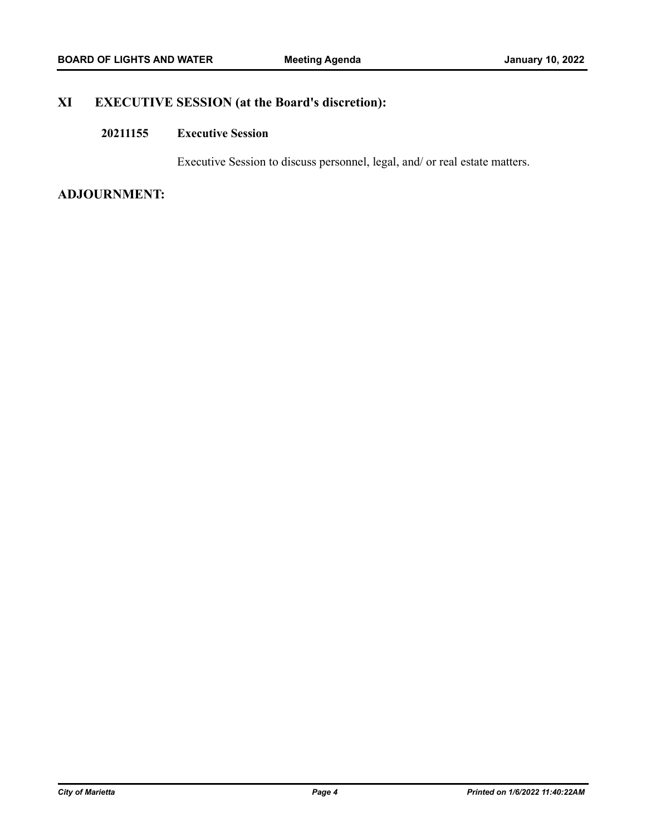# **XI EXECUTIVE SESSION (at the Board's discretion):**

#### **Executive Session 20211155**

Executive Session to discuss personnel, legal, and/ or real estate matters.

# **ADJOURNMENT:**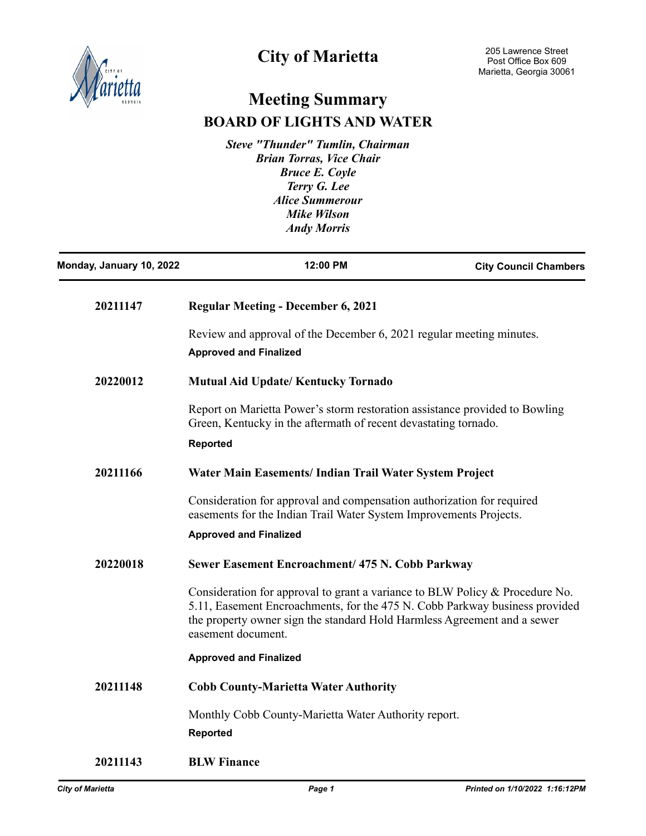

# **City of Marietta**

# **Meeting Summary BOARD OF LIGHTS AND WATER**

*Steve "Thunder" Tumlin, Chairman Brian Torras, Vice Chair Bruce E. Coyle Terry G. Lee Alice Summerour Mike Wilson Andy Morris*

| Monday, January 10, 2022 | 12:00 PM                                                                                                                                                                                                                                                      | <b>City Council Chambers</b> |
|--------------------------|---------------------------------------------------------------------------------------------------------------------------------------------------------------------------------------------------------------------------------------------------------------|------------------------------|
| 20211147                 | <b>Regular Meeting - December 6, 2021</b>                                                                                                                                                                                                                     |                              |
|                          | Review and approval of the December 6, 2021 regular meeting minutes.<br><b>Approved and Finalized</b>                                                                                                                                                         |                              |
| 20220012                 | <b>Mutual Aid Update/Kentucky Tornado</b>                                                                                                                                                                                                                     |                              |
|                          | Report on Marietta Power's storm restoration assistance provided to Bowling<br>Green, Kentucky in the aftermath of recent devastating tornado.<br><b>Reported</b>                                                                                             |                              |
| 20211166                 | Water Main Easements/ Indian Trail Water System Project                                                                                                                                                                                                       |                              |
|                          | Consideration for approval and compensation authorization for required<br>easements for the Indian Trail Water System Improvements Projects.<br><b>Approved and Finalized</b>                                                                                 |                              |
| 20220018                 | Sewer Easement Encroachment/ 475 N. Cobb Parkway                                                                                                                                                                                                              |                              |
|                          | Consideration for approval to grant a variance to BLW Policy & Procedure No.<br>5.11, Easement Encroachments, for the 475 N. Cobb Parkway business provided<br>the property owner sign the standard Hold Harmless Agreement and a sewer<br>easement document. |                              |
|                          | <b>Approved and Finalized</b>                                                                                                                                                                                                                                 |                              |
| 20211148                 | <b>Cobb County-Marietta Water Authority</b>                                                                                                                                                                                                                   |                              |
|                          | Monthly Cobb County-Marietta Water Authority report.<br><b>Reported</b>                                                                                                                                                                                       |                              |
| 20211143                 | <b>BLW Finance</b>                                                                                                                                                                                                                                            |                              |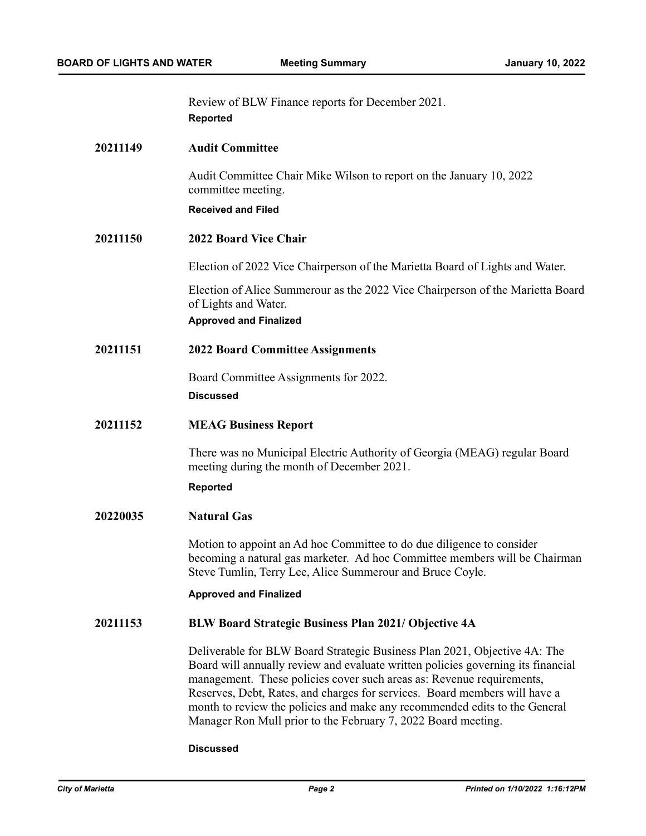Review of BLW Finance reports for December 2021. **Reported**

### **20211149 Audit Committee**

Audit Committee Chair Mike Wilson to report on the January 10, 2022 committee meeting.

### **Received and Filed**

### **20211150 2022 Board Vice Chair**

Election of 2022 Vice Chairperson of the Marietta Board of Lights and Water.

Election of Alice Summerour as the 2022 Vice Chairperson of the Marietta Board of Lights and Water. **Approved and Finalized**

### **20211151 2022 Board Committee Assignments**

Board Committee Assignments for 2022. **Discussed**

### **20211152 MEAG Business Report**

There was no Municipal Electric Authority of Georgia (MEAG) regular Board meeting during the month of December 2021.

### **Reported**

### **20220035 Natural Gas**

Motion to appoint an Ad hoc Committee to do due diligence to consider becoming a natural gas marketer. Ad hoc Committee members will be Chairman Steve Tumlin, Terry Lee, Alice Summerour and Bruce Coyle.

### **Approved and Finalized**

### **20211153 BLW Board Strategic Business Plan 2021/ Objective 4A**

Deliverable for BLW Board Strategic Business Plan 2021, Objective 4A: The Board will annually review and evaluate written policies governing its financial management. These policies cover such areas as: Revenue requirements, Reserves, Debt, Rates, and charges for services. Board members will have a month to review the policies and make any recommended edits to the General Manager Ron Mull prior to the February 7, 2022 Board meeting.

### **Discussed**